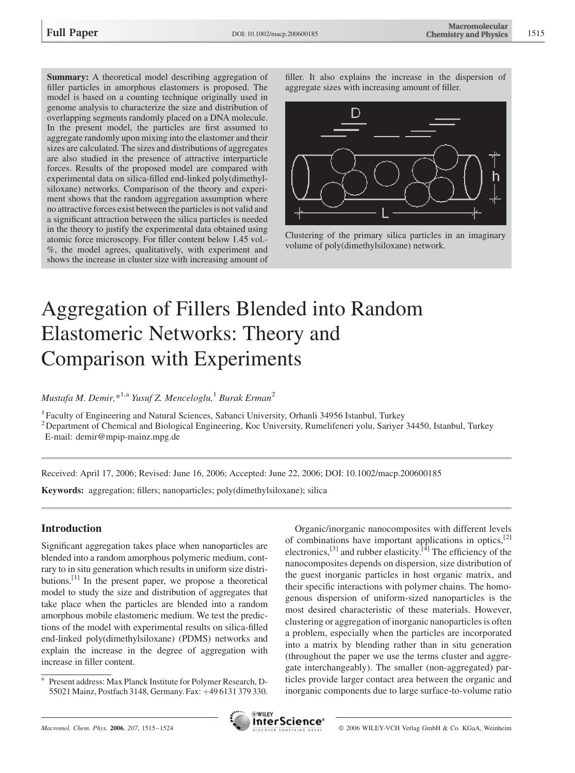Summary: A theoretical model describing aggregation of filler particles in amorphous elastomers is proposed. The model is based on a counting technique originally used in genome analysis to characterize the size and distribution of overlapping segments randomly placed on a DNA molecule. In the present model, the particles are first assumed to aggregate randomly upon mixing into the elastomer and their sizes are calculated. The sizes and distributions of aggregates are also studied in the presence of attractive interparticle forces. Results of the proposed model are compared with experimental data on silica-filled end-linked poly(dimethylsiloxane) networks. Comparison of the theory and experiment shows that the random aggregation assumption where no attractive forces exist between the particles is not valid and a significant attraction between the silica particles is needed in the theory to justify the experimental data obtained using atomic force microscopy. For filler content below 1.45 vol.- %, the model agrees, qualitatively, with experiment and shows the increase in cluster size with increasing amount of

filler. It also explains the increase in the dispersion of aggregate sizes with increasing amount of filler.



Clustering of the primary silica particles in an imaginary volume of poly(dimethylsiloxane) network.

# Aggregation of Fillers Blended into Random Elastomeric Networks: Theory and Comparison with Experiments

Mustafa M. Demir, $*^{1,a}$  Yusuf Z. Menceloglu, Burak Erman<sup>2</sup>

<sup>1</sup> Faculty of Engineering and Natural Sciences, Sabanci University, Orhanli 34956 Istanbul, Turkey

<sup>2</sup> Department of Chemical and Biological Engineering, Koc University, Rumelifeneri yolu, Sariyer 34450, Istanbul, Turkey E-mail: demir@mpip-mainz.mpg.de

Received: April 17, 2006; Revised: June 16, 2006; Accepted: June 22, 2006; DOI: 10.1002/macp.200600185

Keywords: aggregation; fillers; nanoparticles; poly(dimethylsiloxane); silica

## Introduction

Significant aggregation takes place when nanoparticles are blended into a random amorphous polymeric medium, contrary to in situ generation which results in uniform size distributions.[1] In the present paper, we propose a theoretical model to study the size and distribution of aggregates that take place when the particles are blended into a random amorphous mobile elastomeric medium. We test the predictions of the model with experimental results on silica-filled end-linked poly(dimethylsiloxane) (PDMS) networks and explain the increase in the degree of aggregation with increase in filler content.

of combinations have important applications in optics, $^{[2]}$ electronics,<sup>[3]</sup> and rubber elasticity.<sup>[4]</sup> The efficiency of the nanocomposites depends on dispersion, size distribution of the guest inorganic particles in host organic matrix, and their specific interactions with polymer chains. The homogenous dispersion of uniform-sized nanoparticles is the most desired characteristic of these materials. However, clustering or aggregation of inorganic nanoparticles is often a problem, especially when the particles are incorporated into a matrix by blending rather than in situ generation (throughout the paper we use the terms cluster and aggregate interchangeably). The smaller (non-aggregated) particles provide larger contact area between the organic and inorganic components due to large surface-to-volume ratio

Organic/inorganic nanocomposites with different levels



<sup>a</sup> Present address: Max Planck Institute for Polymer Research, D-55021 Mainz, Postfach 3148, Germany. Fax: +49 6131 379 330.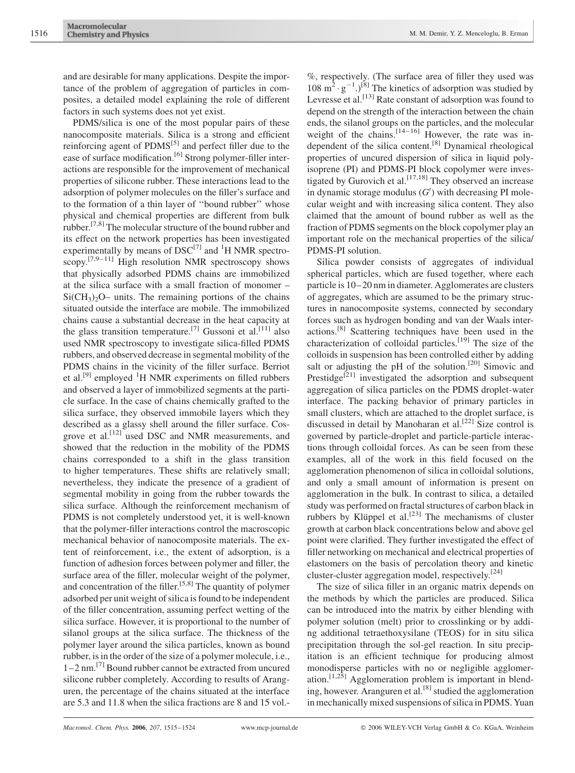and are desirable for many applications. Despite the importance of the problem of aggregation of particles in composites, a detailed model explaining the role of different factors in such systems does not yet exist.

PDMS/silica is one of the most popular pairs of these nanocomposite materials. Silica is a strong and efficient reinforcing agent of  $PDMS^{[5]}$  and perfect filler due to the ease of surface modification.<sup>[6]</sup> Strong polymer-filler interactions are responsible for the improvement of mechanical properties of silicone rubber. These interactions lead to the adsorption of polymer molecules on the filler's surface and to the formation of a thin layer of ''bound rubber'' whose physical and chemical properties are different from bulk rubber.[7,8] The molecular structure of the bound rubber and its effect on the network properties has been investigated experimentally by means of  $\overline{DSC}^{[7]}$  and  ${}^{1}H$  NMR spectroscopy.<sup>[7,9–11]</sup> High resolution NMR spectroscopy shows that physically adsorbed PDMS chains are immobilized at the silica surface with a small fraction of monomer –  $Si(CH_3)_{2}O$ – units. The remaining portions of the chains situated outside the interface are mobile. The immobilized chains cause a substantial decrease in the heat capacity at the glass transition temperature.<sup>[7]</sup> Gussoni et al.<sup>[11]</sup> also used NMR spectroscopy to investigate silica-filled PDMS rubbers, and observed decrease in segmental mobility of the PDMS chains in the vicinity of the filler surface. Berriot et al.<sup>[9]</sup> employed <sup>1</sup>H NMR experiments on filled rubbers and observed a layer of immobilized segments at the particle surface. In the case of chains chemically grafted to the silica surface, they observed immobile layers which they described as a glassy shell around the filler surface. Cosgrove et al.<sup>[12]</sup> used DSC and NMR measurements, and showed that the reduction in the mobility of the PDMS chains corresponded to a shift in the glass transition to higher temperatures. These shifts are relatively small; nevertheless, they indicate the presence of a gradient of segmental mobility in going from the rubber towards the silica surface. Although the reinforcement mechanism of PDMS is not completely understood yet, it is well-known that the polymer-filler interactions control the macroscopic mechanical behavior of nanocomposite materials. The extent of reinforcement, i.e., the extent of adsorption, is a function of adhesion forces between polymer and filler, the surface area of the filler, molecular weight of the polymer, and concentration of the filler.<sup>[5,8]</sup> The quantity of polymer adsorbed per unit weight of silica is found to be independent of the filler concentration, assuming perfect wetting of the silica surface. However, it is proportional to the number of silanol groups at the silica surface. The thickness of the polymer layer around the silica particles, known as bound rubber, is in the order of the size of a polymer molecule, i.e.,  $1-2$  nm.<sup>[7]</sup> Bound rubber cannot be extracted from uncured silicone rubber completely. According to results of Aranguren, the percentage of the chains situated at the interface are 5.3 and 11.8 when the silica fractions are 8 and 15 vol.-

%, respectively. (The surface area of filler they used was  $108 \text{ m}^2 \cdot \text{g}^{-1}$ .)<sup>[8]</sup> The kinetics of adsorption was studied by Levresse et al.<sup>[13]</sup> Rate constant of adsorption was found to depend on the strength of the interaction between the chain ends, the silanol groups on the particles, and the molecular weight of the chains. $[14-16]$  However, the rate was independent of the silica content.[8] Dynamical rheological properties of uncured dispersion of silica in liquid polyisoprene (PI) and PDMS-PI block copolymer were investigated by Gurovich et al.<sup>[17,18]</sup> They observed an increase in dynamic storage modulus  $(G')$  with decreasing PI molecular weight and with increasing silica content. They also claimed that the amount of bound rubber as well as the fraction of PDMS segments on the block copolymer play an important role on the mechanical properties of the silica/ PDMS-PI solution.

Silica powder consists of aggregates of individual spherical particles, which are fused together, where each particle is 10–20 nm in diameter. Agglomerates are clusters of aggregates, which are assumed to be the primary structures in nanocomposite systems, connected by secondary forces such as hydrogen bonding and van der Waals interactions.[8] Scattering techniques have been used in the characterization of colloidal particles.<sup>[19]</sup> The size of the colloids in suspension has been controlled either by adding salt or adjusting the pH of the solution.<sup>[20]</sup> Simovic and Prestidge<sup>[21]</sup> investigated the adsorption and subsequent aggregation of silica particles on the PDMS droplet-water interface. The packing behavior of primary particles in small clusters, which are attached to the droplet surface, is discussed in detail by Manoharan et al.<sup>[22]</sup> Size control is governed by particle-droplet and particle-particle interactions through colloidal forces. As can be seen from these examples, all of the work in this field focused on the agglomeration phenomenon of silica in colloidal solutions, and only a small amount of information is present on agglomeration in the bulk. In contrast to silica, a detailed study was performed on fractal structures of carbon black in rubbers by Klüppel et al.<sup>[23]</sup> The mechanisms of cluster growth at carbon black concentrations below and above gel point were clarified. They further investigated the effect of filler networking on mechanical and electrical properties of elastomers on the basis of percolation theory and kinetic cluster-cluster aggregation model, respectively.[24]

The size of silica filler in an organic matrix depends on the methods by which the particles are produced. Silica can be introduced into the matrix by either blending with polymer solution (melt) prior to crosslinking or by adding additional tetraethoxysilane (TEOS) for in situ silica precipitation through the sol-gel reaction. In situ precipitation is an efficient technique for producing almost monodisperse particles with no or negligible agglomeration.<sup>[1,25]</sup> Agglomeration problem is important in blending, however. Aranguren et al.<sup>[8]</sup> studied the agglomeration in mechanically mixed suspensions of silica in PDMS. Yuan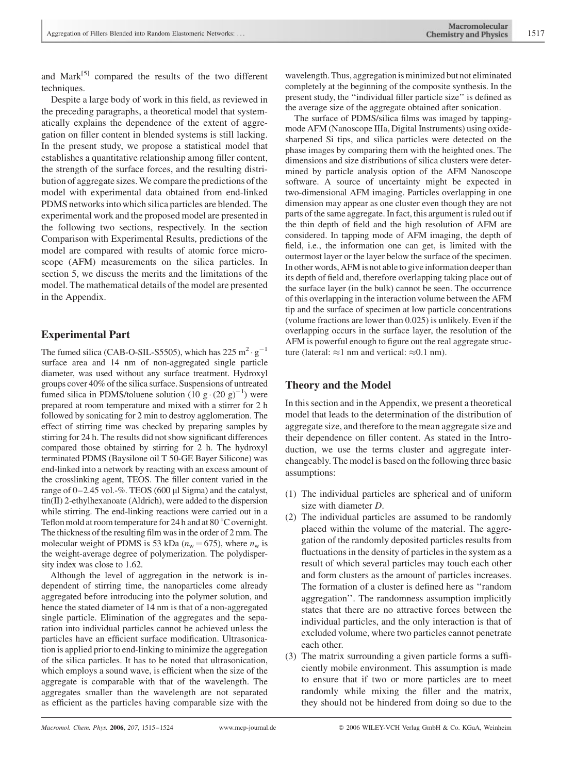and Mark $^{[5]}$  compared the results of the two different techniques.

Despite a large body of work in this field, as reviewed in the preceding paragraphs, a theoretical model that systematically explains the dependence of the extent of aggregation on filler content in blended systems is still lacking. In the present study, we propose a statistical model that establishes a quantitative relationship among filler content, the strength of the surface forces, and the resulting distribution of aggregate sizes.We compare the predictions of the model with experimental data obtained from end-linked PDMS networks into which silica particles are blended. The experimental work and the proposed model are presented in the following two sections, respectively. In the section Comparison with Experimental Results, predictions of the model are compared with results of atomic force microscope (AFM) measurements on the silica particles. In section 5, we discuss the merits and the limitations of the model. The mathematical details of the model are presented in the Appendix.

## Experimental Part

The fumed silica (CAB-O-SIL-S5505), which has  $225 \text{ m}^2 \cdot \text{g}^{-1}$ surface area and 14 nm of non-aggregated single particle diameter, was used without any surface treatment. Hydroxyl groups cover 40% of the silica surface. Suspensions of untreated fumed silica in PDMS/toluene solution  $(10 \text{ g} \cdot (20 \text{ g})^{-1})$  were prepared at room temperature and mixed with a stirrer for 2 h followed by sonicating for 2 min to destroy agglomeration. The effect of stirring time was checked by preparing samples by stirring for 24 h. The results did not show significant differences compared those obtained by stirring for 2 h. The hydroxyl terminated PDMS (Baysilone oil T 50-GE Bayer Silicone) was end-linked into a network by reacting with an excess amount of the crosslinking agent, TEOS. The filler content varied in the range of 0-2.45 vol.-%. TEOS (600 µl Sigma) and the catalyst, tin(II) 2-ethylhexanoate (Aldrich), were added to the dispersion while stirring. The end-linking reactions were carried out in a Teflon mold at room temperature for 24 h and at 80 $\degree$ C overnight. The thickness of the resulting film was in the order of 2 mm. The molecular weight of PDMS is 53 kDa ( $n_w$  = 675), where  $n_w$  is the weight-average degree of polymerization. The polydispersity index was close to 1.62.

Although the level of aggregation in the network is independent of stirring time, the nanoparticles come already aggregated before introducing into the polymer solution, and hence the stated diameter of 14 nm is that of a non-aggregated single particle. Elimination of the aggregates and the separation into individual particles cannot be achieved unless the particles have an efficient surface modification. Ultrasonication is applied prior to end-linking to minimize the aggregation of the silica particles. It has to be noted that ultrasonication, which employs a sound wave, is efficient when the size of the aggregate is comparable with that of the wavelength. The aggregates smaller than the wavelength are not separated as efficient as the particles having comparable size with the wavelength. Thus, aggregation is minimized but not eliminated completely at the beginning of the composite synthesis. In the present study, the ''individual filler particle size'' is defined as the average size of the aggregate obtained after sonication.

The surface of PDMS/silica films was imaged by tappingmode AFM (Nanoscope IIIa, Digital Instruments) using oxidesharpened Si tips, and silica particles were detected on the phase images by comparing them with the heighted ones. The dimensions and size distributions of silica clusters were determined by particle analysis option of the AFM Nanoscope software. A source of uncertainty might be expected in two-dimensional AFM imaging. Particles overlapping in one dimension may appear as one cluster even though they are not parts of the same aggregate. In fact, this argument is ruled out if the thin depth of field and the high resolution of AFM are considered. In tapping mode of AFM imaging, the depth of field, i.e., the information one can get, is limited with the outermost layer or the layer below the surface of the specimen. In other words, AFM is not able to give information deeper than its depth of field and, therefore overlapping taking place out of the surface layer (in the bulk) cannot be seen. The occurrence of this overlapping in the interaction volume between the AFM tip and the surface of specimen at low particle concentrations (volume fractions are lower than 0.025) is unlikely. Even if the overlapping occurs in the surface layer, the resolution of the AFM is powerful enough to figure out the real aggregate structure (lateral:  $\approx$ 1 nm and vertical:  $\approx$ 0.1 nm).

# Theory and the Model

In this section and in the Appendix, we present a theoretical model that leads to the determination of the distribution of aggregate size, and therefore to the mean aggregate size and their dependence on filler content. As stated in the Introduction, we use the terms cluster and aggregate interchangeably. The model is based on the following three basic assumptions:

- (1) The individual particles are spherical and of uniform size with diameter D.
- (2) The individual particles are assumed to be randomly placed within the volume of the material. The aggregation of the randomly deposited particles results from fluctuations in the density of particles in the system as a result of which several particles may touch each other and form clusters as the amount of particles increases. The formation of a cluster is defined here as ''random aggregation''. The randomness assumption implicitly states that there are no attractive forces between the individual particles, and the only interaction is that of excluded volume, where two particles cannot penetrate each other.
- (3) The matrix surrounding a given particle forms a sufficiently mobile environment. This assumption is made to ensure that if two or more particles are to meet randomly while mixing the filler and the matrix, they should not be hindered from doing so due to the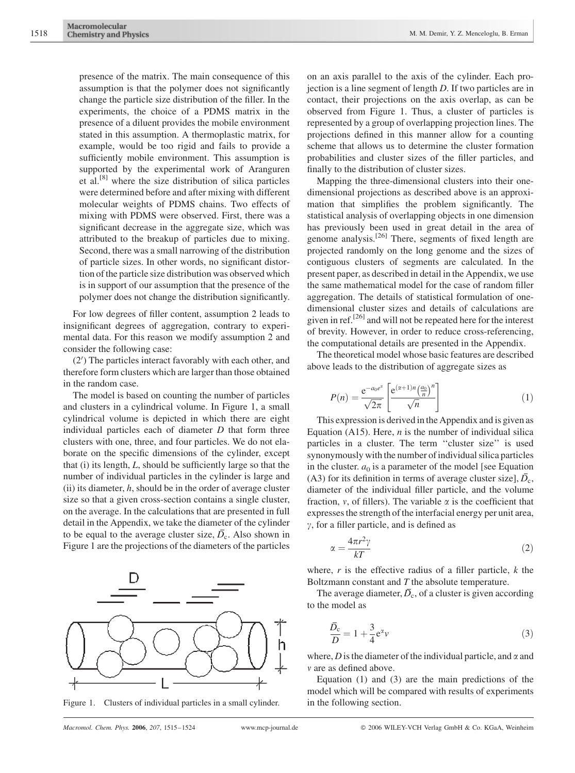presence of the matrix. The main consequence of this assumption is that the polymer does not significantly change the particle size distribution of the filler. In the experiments, the choice of a PDMS matrix in the presence of a diluent provides the mobile environment stated in this assumption. A thermoplastic matrix, for example, would be too rigid and fails to provide a sufficiently mobile environment. This assumption is supported by the experimental work of Aranguren et al.[8] where the size distribution of silica particles were determined before and after mixing with different molecular weights of PDMS chains. Two effects of mixing with PDMS were observed. First, there was a significant decrease in the aggregate size, which was attributed to the breakup of particles due to mixing. Second, there was a small narrowing of the distribution of particle sizes. In other words, no significant distortion of the particle size distribution was observed which is in support of our assumption that the presence of the polymer does not change the distribution significantly.

For low degrees of filler content, assumption 2 leads to insignificant degrees of aggregation, contrary to experimental data. For this reason we modify assumption 2 and consider the following case:

(2') The particles interact favorably with each other, and therefore form clusters which are larger than those obtained in the random case.

The model is based on counting the number of particles and clusters in a cylindrical volume. In Figure 1, a small cylindrical volume is depicted in which there are eight individual particles each of diameter  $D$  that form three clusters with one, three, and four particles. We do not elaborate on the specific dimensions of the cylinder, except that (i) its length, L, should be sufficiently large so that the number of individual particles in the cylinder is large and (ii) its diameter,  $h$ , should be in the order of average cluster size so that a given cross-section contains a single cluster, on the average. In the calculations that are presented in full detail in the Appendix, we take the diameter of the cylinder to be equal to the average cluster size,  $\overline{D}_c$ . Also shown in Figure 1 are the projections of the diameters of the particles



Figure 1. Clusters of individual particles in a small cylinder. in the following section.

on an axis parallel to the axis of the cylinder. Each projection is a line segment of length D. If two particles are in contact, their projections on the axis overlap, as can be observed from Figure 1. Thus, a cluster of particles is represented by a group of overlapping projection lines. The projections defined in this manner allow for a counting scheme that allows us to determine the cluster formation probabilities and cluster sizes of the filler particles, and finally to the distribution of cluster sizes.

Mapping the three-dimensional clusters into their onedimensional projections as described above is an approximation that simplifies the problem significantly. The statistical analysis of overlapping objects in one dimension has previously been used in great detail in the area of genome analysis.[26] There, segments of fixed length are projected randomly on the long genome and the sizes of contiguous clusters of segments are calculated. In the present paper, as described in detail in the Appendix, we use the same mathematical model for the case of random filler aggregation. The details of statistical formulation of onedimensional cluster sizes and details of calculations are given in ref.[26] and will not be repeated here for the interest of brevity. However, in order to reduce cross-referencing, the computational details are presented in the Appendix.

The theoretical model whose basic features are described above leads to the distribution of aggregate sizes as

$$
P(n) = \frac{e^{-a_0 e^{\alpha}}}{\sqrt{2\pi}} \left[ \frac{e^{(\alpha+1)n} \left(\frac{a_0}{n}\right)^n}{\sqrt{n}} \right] \tag{1}
$$

This expression is derived in the Appendix and is given as Equation (A15). Here,  $n$  is the number of individual silica particles in a cluster. The term ''cluster size'' is used synonymously with the number of individual silica particles in the cluster.  $a_0$  is a parameter of the model [see Equation (A3) for its definition in terms of average cluster size],  $\overline{D}_c$ , diameter of the individual filler particle, and the volume fraction, v, of fillers). The variable  $\alpha$  is the coefficient that expresses the strength of the interfacial energy per unit area,  $\gamma$ , for a filler particle, and is defined as

$$
\alpha = \frac{4\pi r^2 \gamma}{kT} \tag{2}
$$

where,  $r$  is the effective radius of a filler particle,  $k$  the Boltzmann constant and T the absolute temperature.

The average diameter,  $\overline{D}_c$ , of a cluster is given according to the model as

$$
\frac{\overline{D}_{\rm c}}{D} = 1 + \frac{3}{4} e^{\alpha} \nu \tag{3}
$$

where, D is the diameter of the individual particle, and  $\alpha$  and v are as defined above.

Equation (1) and (3) are the main predictions of the model which will be compared with results of experiments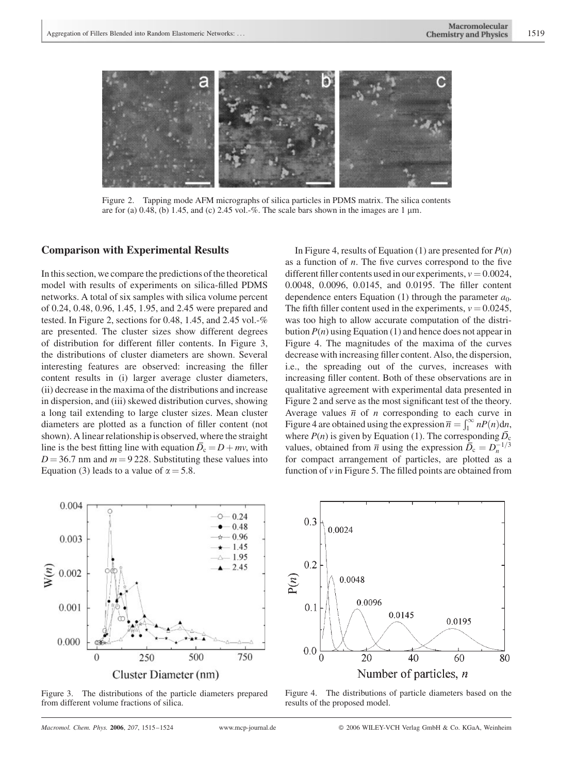

Figure 2. Tapping mode AFM micrographs of silica particles in PDMS matrix. The silica contents are for (a) 0.48, (b) 1.45, and (c) 2.45 vol.-%. The scale bars shown in the images are 1  $\mu$ m.

### Comparison with Experimental Results

In this section, we compare the predictions of the theoretical model with results of experiments on silica-filled PDMS networks. A total of six samples with silica volume percent of 0.24, 0.48, 0.96, 1.45, 1.95, and 2.45 were prepared and tested. In Figure 2, sections for 0.48, 1.45, and 2.45 vol.-% are presented. The cluster sizes show different degrees of distribution for different filler contents. In Figure 3, the distributions of cluster diameters are shown. Several interesting features are observed: increasing the filler content results in (i) larger average cluster diameters, (ii) decrease in the maxima of the distributions and increase in dispersion, and (iii) skewed distribution curves, showing a long tail extending to large cluster sizes. Mean cluster diameters are plotted as a function of filler content (not shown). A linear relationship is observed, where the straight line is the best fitting line with equation  $\overline{D_c} = D + mv$ , with  $D = 36.7$  nm and  $m = 9228$ . Substituting these values into Equation (3) leads to a value of  $\alpha = 5.8$ .

In Figure 4, results of Equation (1) are presented for  $P(n)$ as a function of  $n$ . The five curves correspond to the five different filler contents used in our experiments,  $v = 0.0024$ , 0.0048, 0.0096, 0.0145, and 0.0195. The filler content dependence enters Equation (1) through the parameter  $a_0$ . The fifth filler content used in the experiments,  $v = 0.0245$ , was too high to allow accurate computation of the distribution  $P(n)$  using Equation (1) and hence does not appear in Figure 4. The magnitudes of the maxima of the curves decrease with increasing filler content. Also, the dispersion, i.e., the spreading out of the curves, increases with increasing filler content. Both of these observations are in qualitative agreement with experimental data presented in Figure 2 and serve as the most significant test of the theory. Average values  $\overline{n}$  of *n* corresponding to each curve in Figure 4 are obtained using the expression  $\overline{n} = \int_1^\infty nP(n) \, \mathrm{d}n$ , where  $P(n)$  is given by Equation (1). The corresponding  $\overline{D}_c$ values, obtained from  $\bar{n}$  using the expression  $\bar{D_c} = D_n^{-1/3}$ for compact arrangement of particles, are plotted as a function of  $\nu$  in Figure 5. The filled points are obtained from



Figure 3. The distributions of the particle diameters prepared from different volume fractions of silica.



Figure 4. The distributions of particle diameters based on the results of the proposed model.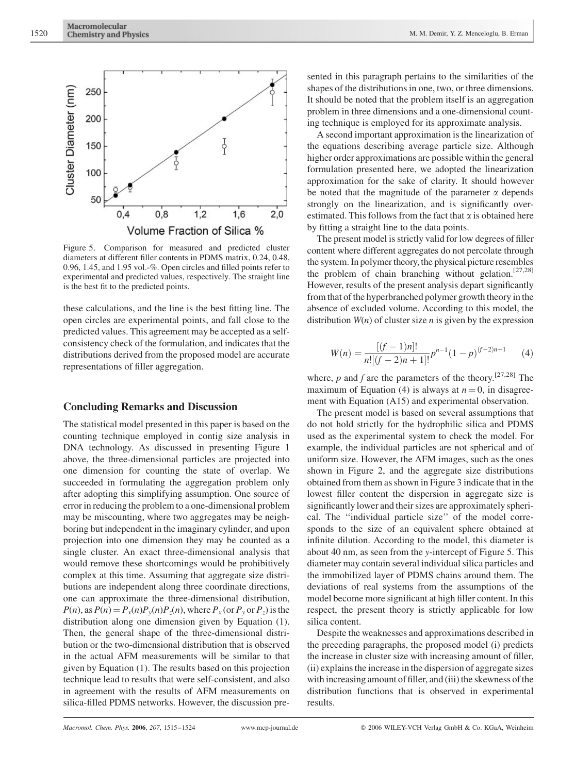

Figure 5. Comparison for measured and predicted cluster diameters at different filler contents in PDMS matrix, 0.24, 0.48, 0.96, 1.45, and 1.95 vol.-%. Open circles and filled points refer to experimental and predicted values, respectively. The straight line is the best fit to the predicted points.

these calculations, and the line is the best fitting line. The open circles are experimental points, and fall close to the predicted values. This agreement may be accepted as a selfconsistency check of the formulation, and indicates that the distributions derived from the proposed model are accurate representations of filler aggregation.

### Concluding Remarks and Discussion

The statistical model presented in this paper is based on the counting technique employed in contig size analysis in DNA technology. As discussed in presenting Figure 1 above, the three-dimensional particles are projected into one dimension for counting the state of overlap. We succeeded in formulating the aggregation problem only after adopting this simplifying assumption. One source of error in reducing the problem to a one-dimensional problem may be miscounting, where two aggregates may be neighboring but independent in the imaginary cylinder, and upon projection into one dimension they may be counted as a single cluster. An exact three-dimensional analysis that would remove these shortcomings would be prohibitively complex at this time. Assuming that aggregate size distributions are independent along three coordinate directions, one can approximate the three-dimensional distribution,  $P(n)$ , as  $P(n) = P_x(n)P_y(n)P_z(n)$ , where  $P_x$  (or  $P_y$  or  $P_z$ ) is the distribution along one dimension given by Equation (1). Then, the general shape of the three-dimensional distribution or the two-dimensional distribution that is observed in the actual AFM measurements will be similar to that given by Equation (1). The results based on this projection technique lead to results that were self-consistent, and also in agreement with the results of AFM measurements on silica-filled PDMS networks. However, the discussion presented in this paragraph pertains to the similarities of the shapes of the distributions in one, two, or three dimensions. It should be noted that the problem itself is an aggregation problem in three dimensions and a one-dimensional counting technique is employed for its approximate analysis.

A second important approximation is the linearization of the equations describing average particle size. Although higher order approximations are possible within the general formulation presented here, we adopted the linearization approximation for the sake of clarity. It should however be noted that the magnitude of the parameter  $\alpha$  depends strongly on the linearization, and is significantly overestimated. This follows from the fact that  $\alpha$  is obtained here by fitting a straight line to the data points.

The present model is strictly valid for low degrees of filler content where different aggregates do not percolate through the system. In polymer theory, the physical picture resembles the problem of chain branching without gelation.<sup>[27,28]</sup> However, results of the present analysis depart significantly from that of the hyperbranched polymer growth theory in the absence of excluded volume. According to this model, the distribution  $W(n)$  of cluster size *n* is given by the expression

$$
W(n) = \frac{[(f-1)n]!}{n![(f-2)n+1]!} p^{n-1} (1-p)^{(f-2)n+1}
$$
 (4)

where,  $p$  and  $f$  are the parameters of the theory.<sup>[27,28]</sup> The maximum of Equation (4) is always at  $n = 0$ , in disagreement with Equation (A15) and experimental observation.

The present model is based on several assumptions that do not hold strictly for the hydrophilic silica and PDMS used as the experimental system to check the model. For example, the individual particles are not spherical and of uniform size. However, the AFM images, such as the ones shown in Figure 2, and the aggregate size distributions obtained from them as shown in Figure 3 indicate that in the lowest filler content the dispersion in aggregate size is significantly lower and their sizes are approximately spherical. The ''individual particle size'' of the model corresponds to the size of an equivalent sphere obtained at infinite dilution. According to the model, this diameter is about 40 nm, as seen from the y-intercept of Figure 5. This diameter may contain several individual silica particles and the immobilized layer of PDMS chains around them. The deviations of real systems from the assumptions of the model become more significant at high filler content. In this respect, the present theory is strictly applicable for low silica content.

Despite the weaknesses and approximations described in the preceding paragraphs, the proposed model (i) predicts the increase in cluster size with increasing amount of filler, (ii) explains the increase in the dispersion of aggregate sizes with increasing amount of filler, and (iii) the skewness of the distribution functions that is observed in experimental results.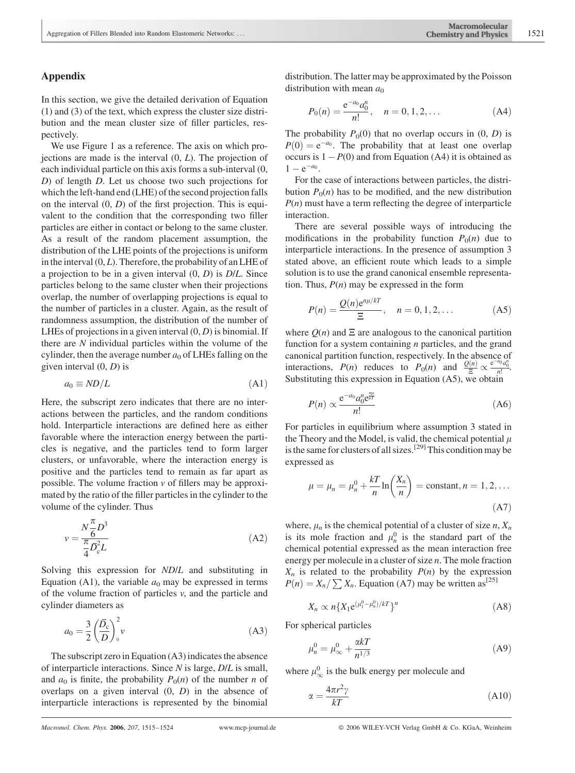## Appendix

In this section, we give the detailed derivation of Equation (1) and (3) of the text, which express the cluster size distribution and the mean cluster size of filler particles, respectively.

We use Figure 1 as a reference. The axis on which projections are made is the interval  $(0, L)$ . The projection of each individual particle on this axis forms a sub-interval (0, D) of length D. Let us choose two such projections for which the left-hand end (LHE) of the second projection falls on the interval  $(0, D)$  of the first projection. This is equivalent to the condition that the corresponding two filler particles are either in contact or belong to the same cluster. As a result of the random placement assumption, the distribution of the LHE points of the projections is uniform in the interval  $(0, L)$ . Therefore, the probability of an LHE of a projection to be in a given interval  $(0, D)$  is  $D/L$ . Since particles belong to the same cluster when their projections overlap, the number of overlapping projections is equal to the number of particles in a cluster. Again, as the result of randomness assumption, the distribution of the number of LHEs of projections in a given interval  $(0, D)$  is binomial. If there are N individual particles within the volume of the cylinder, then the average number  $a_0$  of LHEs falling on the given interval  $(0, D)$  is

$$
a_0 \equiv ND/L \tag{A1}
$$

Here, the subscript zero indicates that there are no interactions between the particles, and the random conditions hold. Interparticle interactions are defined here as either favorable where the interaction energy between the particles is negative, and the particles tend to form larger clusters, or unfavorable, where the interaction energy is positive and the particles tend to remain as far apart as possible. The volume fraction  $\nu$  of fillers may be approximated by the ratio of the filler particles in the cylinder to the volume of the cylinder. Thus

$$
v = \frac{N\frac{\pi}{6}D^3}{\frac{\pi}{4}\overrightarrow{D_c^2L}}\tag{A2}
$$

Solving this expression for ND/L and substituting in Equation (A1), the variable  $a_0$  may be expressed in terms of the volume fraction of particles  $v$ , and the particle and cylinder diameters as

$$
a_0 = \frac{3}{2} \left(\frac{\overline{D}_{\rm c}}{D}\right)^2_{\rm o} v \tag{A3}
$$

The subscript zero in Equation (A3) indicates the absence of interparticle interactions. Since N is large, D/L is small, and  $a_0$  is finite, the probability  $P_0(n)$  of the number n of overlaps on a given interval (0, D) in the absence of interparticle interactions is represented by the binomial distribution. The latter may be approximated by the Poisson distribution with mean  $a_0$ 

$$
P_0(n) = \frac{e^{-a_0} a_0^n}{n!}, \quad n = 0, 1, 2, \dots
$$
 (A4)

The probability  $P_0(0)$  that no overlap occurs in  $(0, D)$  is  $P(0) = e^{-a_0}$ . The probability that at least one overlap occurs is  $1 - P(0)$  and from Equation (A4) it is obtained as  $1 - e^{-a_0}.$ 

For the case of interactions between particles, the distribution  $P_0(n)$  has to be modified, and the new distribution  $P(n)$  must have a term reflecting the degree of interparticle interaction.

There are several possible ways of introducing the modifications in the probability function  $P_0(n)$  due to interparticle interactions. In the presence of assumption 3 stated above, an efficient route which leads to a simple solution is to use the grand canonical ensemble representation. Thus,  $P(n)$  may be expressed in the form

$$
P(n) = \frac{Q(n)e^{n\mu/kT}}{\Xi}, \quad n = 0, 1, 2, ... \tag{A5}
$$

where  $Q(n)$  and  $\Xi$  are analogous to the canonical partition function for a system containing  $n$  particles, and the grand canonical partition function, respectively. In the absence of interactions,  $P(n)$  reduces to  $P_0(n)$  and  $\frac{Q(n)}{\Xi} \propto \frac{e^{-a_0} a_0^n}{n!}$ . Substituting this expression in Equation  $(A5)$ , we obtain

$$
P(n) \propto \frac{e^{-a_0} a_0^n e^{\frac{n\mu}{kT}}}{n!}
$$
 (A6)

For particles in equilibrium where assumption 3 stated in the Theory and the Model, is valid, the chemical potential  $\mu$ is the same for clusters of all sizes.<sup>[29]</sup> This condition may be expressed as

$$
\mu = \mu_n = \mu_n^0 + \frac{kT}{n} \ln\left(\frac{X_n}{n}\right) = \text{constant}, n = 1, 2, \dots
$$
\n(A7)

where,  $\mu_n$  is the chemical potential of a cluster of size  $n$ ,  $X_n$ is its mole fraction and  $\mu_n^0$  is the standard part of the chemical potential expressed as the mean interaction free energy per molecule in a cluster of size *n*. The mole fraction  $X_n$  is related to the probability  $P(n)$  by the expression  $P(n) = X_n / \sum X_n$ . Equation (A7) may be written as<sup>[25]</sup>

$$
X_n \propto n\{X_1 e^{(\mu_1^0 - \mu_n^0)/kT}\}^n\tag{A8}
$$

For spherical particles

$$
\mu_n^0 = \mu_\infty^0 + \frac{\alpha kT}{n^{1/3}}\tag{A9}
$$

where  $\mu_{\infty}^0$  is the bulk energy per molecule and

$$
\alpha = \frac{4\pi r^2 \gamma}{kT} \tag{A10}
$$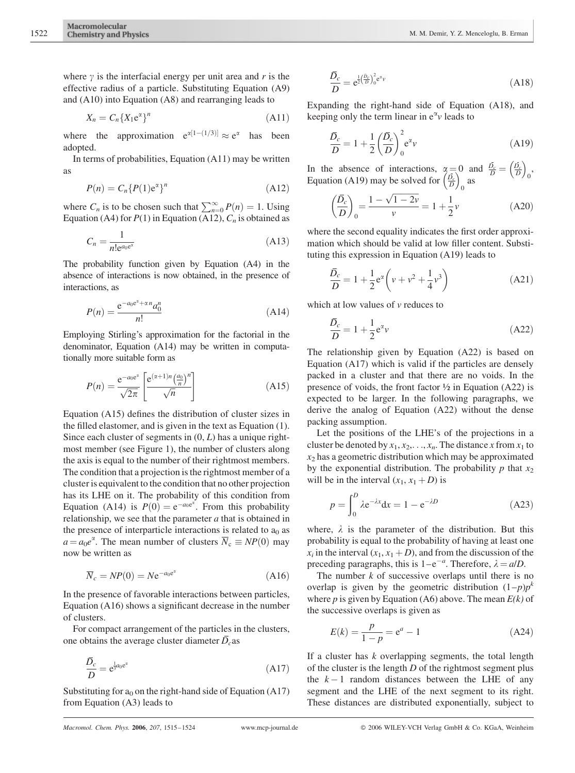where  $\gamma$  is the interfacial energy per unit area and r is the effective radius of a particle. Substituting Equation (A9) and (A10) into Equation (A8) and rearranging leads to

$$
X_n = C_n \{ X_1 e^{\alpha} \}^n \tag{A11}
$$

where the approximation  $e^{\alpha[1-(1/3)]} \approx e^{\alpha}$  has been adopted.

In terms of probabilities, Equation (A11) may be written as

$$
P(n) = C_n \{ P(1) e^{\alpha} \}^n \tag{A12}
$$

where  $C_n$  is to be chosen such that  $\sum_{n=0}^{\infty} P(n) = 1$ . Using Equation (A4) for  $P(1)$  in Equation (A12),  $C_n$  is obtained as

$$
C_n = \frac{1}{n! e^{a_0 e^x}}\tag{A13}
$$

The probability function given by Equation (A4) in the absence of interactions is now obtained, in the presence of interactions, as

$$
P(n) = \frac{e^{-a_0 e^x + \alpha n} a_0^n}{n!}
$$
 (A14)

Employing Stirling's approximation for the factorial in the denominator, Equation (A14) may be written in computationally more suitable form as

$$
P(n) = \frac{e^{-a_0 e^{\alpha}}}{\sqrt{2\pi}} \left[ \frac{e^{(\alpha+1)n} \left(\frac{a_0}{n}\right)^n}{\sqrt{n}} \right]
$$
(A15)

Equation (A15) defines the distribution of cluster sizes in the filled elastomer, and is given in the text as Equation (1). Since each cluster of segments in  $(0, L)$  has a unique rightmost member (see Figure 1), the number of clusters along the axis is equal to the number of their rightmost members. The condition that a projection is the rightmost member of a cluster is equivalent to the condition that no other projection has its LHE on it. The probability of this condition from Equation (A14) is  $P(0) = e^{-a_0 e^{a}}$ . From this probability relationship, we see that the parameter  $a$  that is obtained in the presence of interparticle interactions is related to  $a_0$  as  $a = a_0 e^{\alpha}$ . The mean number of clusters  $\overline{N}_c \equiv NP(0)$  may now be written as

$$
\overline{N}_c = NP(0) = N e^{-a_0 e^{\alpha}}
$$
 (A16)

In the presence of favorable interactions between particles, Equation (A16) shows a significant decrease in the number of clusters.

For compact arrangement of the particles in the clusters, one obtains the average cluster diameter  $\overline{D}_c$  as

$$
\frac{\overline{D}_c}{D} = e^{\frac{1}{3}a_0 e^{\alpha}} \tag{A17}
$$

Substituting for  $a_0$  on the right-hand side of Equation (A17) from Equation (A3) leads to

$$
\frac{\overline{D}_c}{D} = e^{\frac{1}{2} \left(\frac{\overline{D}_c}{D}\right)_0^2 e^{\alpha_\nu}}
$$
\n(A18)

Expanding the right-hand side of Equation (A18), and keeping only the term linear in  $e^{\alpha}v$  leads to

$$
\frac{\overline{D}_c}{D} = 1 + \frac{1}{2} \left(\frac{\overline{D}_c}{D}\right)_0^2 e^{\alpha} \nu
$$
\n(A19)

In the absence of interactions,  $\alpha = 0$  and  $\frac{D_c}{D} = \left(\frac{D_c}{D}\right)^2$  $\overline{0}$ Equation (A19) may be solved for  $\left(\frac{\overline{D_c}}{D}\right)$  $\alpha = 0$ 0 as

$$
\left(\frac{\overline{D}_c}{D}\right)_0 = \frac{1 - \sqrt{1 - 2\nu}}{\nu} = 1 + \frac{1}{2}\nu
$$
\n(A20)

where the second equality indicates the first order approximation which should be valid at low filler content. Substituting this expression in Equation (A19) leads to

$$
\frac{\bar{D}_c}{D} = 1 + \frac{1}{2} e^{\alpha} \left( v + v^2 + \frac{1}{4} v^3 \right)
$$
 (A21)

which at low values of  $\nu$  reduces to

$$
\frac{\overline{D}_c}{D} = 1 + \frac{1}{2} e^{\alpha} \nu \tag{A22}
$$

The relationship given by Equation (A22) is based on Equation (A17) which is valid if the particles are densely packed in a cluster and that there are no voids. In the presence of voids, the front factor  $\frac{1}{2}$  in Equation (A22) is expected to be larger. In the following paragraphs, we derive the analog of Equation (A22) without the dense packing assumption.

Let the positions of the LHE's of the projections in a cluster be denoted by  $x_1, x_2, \ldots, x_n$ . The distance x from  $x_1$  to  $x_2$  has a geometric distribution which may be approximated by the exponential distribution. The probability  $p$  that  $x_2$ will be in the interval  $(x_1, x_1 + D)$  is

$$
p = \int_{0}^{D} \lambda e^{-\lambda x} dx = 1 - e^{-\lambda D}
$$
 (A23)

where,  $\lambda$  is the parameter of the distribution. But this probability is equal to the probability of having at least one  $x_i$  in the interval  $(x_1, x_1 + D)$ , and from the discussion of the preceding paragraphs, this is  $1-e^{-a}$ . Therefore,  $\lambda = a/D$ .

The number  $k$  of successive overlaps until there is no overlap is given by the geometric distribution  $(1-p)p^{k}$ where p is given by Equation (A6) above. The mean  $E(k)$  of the successive overlaps is given as

$$
E(k) = \frac{p}{1 - p} = e^a - 1
$$
 (A24)

If a cluster has  $k$  overlapping segments, the total length of the cluster is the length  $D$  of the rightmost segment plus the  $k-1$  random distances between the LHE of any segment and the LHE of the next segment to its right. These distances are distributed exponentially, subject to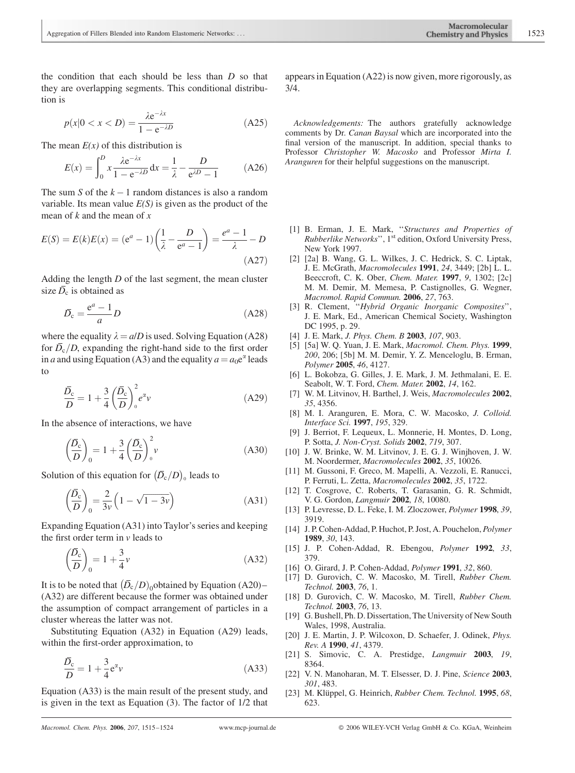the condition that each should be less than  $D$  so that they are overlapping segments. This conditional distribution is

$$
p(x|0 < x < D) = \frac{\lambda e^{-\lambda x}}{1 - e^{-\lambda D}}
$$
 (A25)

The mean  $E(x)$  of this distribution is

$$
E(x) = \int_0^D x \frac{\lambda e^{-\lambda x}}{1 - e^{-\lambda D}} dx = \frac{1}{\lambda} - \frac{D}{e^{\lambda D} - 1}
$$
 (A26)

The sum S of the  $k-1$  random distances is also a random variable. Its mean value  $E(S)$  is given as the product of the mean of  $k$  and the mean of  $x$ 

$$
E(S) = E(k)E(x) = (e^{a} - 1)\left(\frac{1}{\lambda} - \frac{D}{e^{a} - 1}\right) = \frac{e^{a} - 1}{\lambda} - D
$$
\n(A27)

Adding the length  $D$  of the last segment, the mean cluster size  $\overline{D}_c$  is obtained as

$$
\overline{D}_{c} = \frac{e^{a} - 1}{a}D\tag{A28}
$$

where the equality  $\lambda = a/D$  is used. Solving Equation (A28) for  $\overline{D}_c/D$ , expanding the right-hand side to the first order in a and using Equation (A3) and the equality  $a = a_0e^{\alpha}$  leads to

$$
\frac{\overline{D}_{\rm c}}{D} = 1 + \frac{3}{4} \left(\frac{\overline{D}_{\rm c}}{D}\right)_{\rm o}^{2} e^{\alpha} \nu \tag{A29}
$$

In the absence of interactions, we have

$$
\left(\frac{\overline{D}_{c}}{D}\right)_{0} = 1 + \frac{3}{4} \left(\frac{\overline{D}_{c}}{D}\right)_{0}^{2} v \tag{A30}
$$

Solution of this equation for  $(\bar{D}_{\rm c}/D)$ <sub>0</sub> leads to

$$
\left(\frac{\overline{D}_{c}}{D}\right)_{0} = \frac{2}{3\nu} \left(1 - \sqrt{1 - 3\nu}\right)
$$
\n(A31)

Expanding Equation (A31) into Taylor's series and keeping the first order term in  $\nu$  leads to

$$
\left(\frac{\overline{D}_{\rm c}}{D}\right)_{0} = 1 + \frac{3}{4}\nu\tag{A32}
$$

It is to be noted that  $(\bar{D}_{c}/D)_{0}$ obtained by Equation (A20)– (A32) are different because the former was obtained under the assumption of compact arrangement of particles in a cluster whereas the latter was not.

Substituting Equation (A32) in Equation (A29) leads, within the first-order approximation, to

$$
\frac{\overline{D}_{\rm c}}{D} = 1 + \frac{3}{4} e^{\alpha} \nu \tag{A33}
$$

Equation (A33) is the main result of the present study, and is given in the text as Equation (3). The factor of 1/2 that

appears in Equation (A22) is now given, more rigorously, as 3/4.

Acknowledgements: The authors gratefully acknowledge comments by Dr. Canan Baysal which are incorporated into the final version of the manuscript. In addition, special thanks to Professor Christopher W. Macosko and Professor Mirta I. Aranguren for their helpful suggestions on the manuscript.

- [1] B. Erman, J. E. Mark, "Structures and Properties of Rubberlike Networks", 1<sup>st</sup> edition, Oxford University Press, New York 1997.
- [2] [2a] B. Wang, G. L. Wilkes, J. C. Hedrick, S. C. Liptak, J. E. McGrath, Macromolecules 1991, 24, 3449; [2b] L. L. Beeccroft, C. K. Ober, Chem. Mater. 1997, 9, 1302; [2c] M. M. Demir, M. Memesa, P. Castignolles, G. Wegner, Macromol. Rapid Commun. 2006, 27, 763.
- [3] R. Clement, "Hybrid Organic Inorganic Composites", J. E. Mark, Ed., American Chemical Society, Washington DC 1995, p. 29.
- [4] J. E. Mark, J. Phys. Chem. B 2003, 107, 903.
- [5] [5a] W. Q. Yuan, J. E. Mark, Macromol. Chem. Phys. 1999, 200, 206; [5b] M. M. Demir, Y. Z. Menceloglu, B. Erman, Polymer 2005, 46, 4127.
- [6] L. Bokobza, G. Gilles, J. E. Mark, J. M. Jethmalani, E. E. Seabolt, W. T. Ford, Chem. Mater. 2002, 14, 162.
- [7] W. M. Litvinov, H. Barthel, J. Weis, Macromolecules 2002, 35, 4356.
- [8] M. I. Aranguren, E. Mora, C. W. Macosko, J. Colloid. Interface Sci. 1997, 195, 329.
- [9] J. Berriot, F. Lequeux, L. Monnerie, H. Montes, D. Long, P. Sotta, J. Non-Cryst. Solids 2002, 719, 307.
- [10] J. W. Brinke, W. M. Litvinov, J. E. G. J. Winjhoven, J. W. M. Noordermer, Macromolecules 2002, 35, 10026.
- [11] M. Gussoni, F. Greco, M. Mapelli, A. Vezzoli, E. Ranucci, P. Ferruti, L. Zetta, Macromolecules 2002, 35, 1722.
- [12] T. Cosgrove, C. Roberts, T. Garasanin, G. R. Schmidt, V. G. Gordon, Langmuir 2002, 18, 10080.
- [13] P. Levresse, D. L. Feke, I. M. Zloczower, *Polymer* 1998, 39, 3919.
- [14] J. P. Cohen-Addad, P. Huchot, P. Jost, A. Pouchelon, Polymer 1989, 30, 143.
- [15] J. P. Cohen-Addad, R. Ebengou, Polymer 1992, 33, 379.
- [16] O. Girard, J. P. Cohen-Addad, Polymer 1991, 32, 860.
- [17] D. Gurovich, C. W. Macosko, M. Tirell, Rubber Chem. Technol. 2003, 76, 1.
- [18] D. Gurovich, C. W. Macosko, M. Tirell, Rubber Chem. Technol. 2003, 76, 13.
- [19] G. Bushell, Ph. D. Dissertation, The University of New South Wales, 1998, Australia.
- [20] J. E. Martin, J. P. Wilcoxon, D. Schaefer, J. Odinek, Phys. Rev. A 1990, 41, 4379.
- [21] S. Simovic, C. A. Prestidge, Langmuir 2003, 19, 8364.
- [22] V. N. Manoharan, M. T. Elsesser, D. J. Pine, Science 2003, 301, 483.
- [23] M. Klüppel, G. Heinrich, Rubber Chem. Technol. 1995, 68, 623.